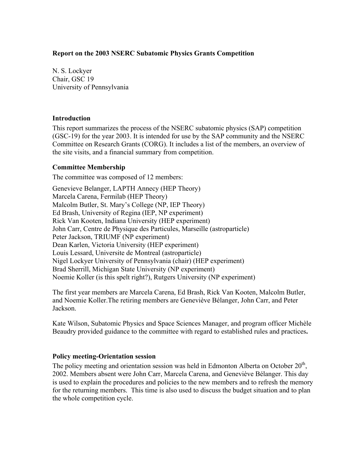## **Report on the 2003 NSERC Subatomic Physics Grants Competition**

N. S. Lockyer Chair, GSC 19 University of Pennsylvania

## **Introduction**

This report summarizes the process of the NSERC subatomic physics (SAP) competition (GSC-19) for the year 2003. It is intended for use by the SAP community and the NSERC Committee on Research Grants (CORG). It includes a list of the members, an overview of the site visits, and a financial summary from competition.

## **Committee Membership**

The committee was composed of 12 members:

Genevieve Belanger, LAPTH Annecy (HEP Theory) Marcela Carena, Fermilab (HEP Theory) Malcolm Butler, St. Mary's College (NP, IEP Theory) Ed Brash, University of Regina (IEP, NP experiment) Rick Van Kooten, Indiana University (HEP experiment) John Carr, Centre de Physique des Particules, Marseille (astroparticle) Peter Jackson, TRIUMF (NP experiment) Dean Karlen, Victoria University (HEP experiment) Louis Lessard, Universite de Montreal (astroparticle) Nigel Lockyer University of Pennsylvania (chair) (HEP experiment) Brad Sherrill, Michigan State University (NP experiment) Noemie Koller (is this spelt right?), Rutgers University (NP experiment)

The first year members are Marcela Carena, Ed Brash, Rick Van Kooten, Malcolm Butler, and Noemie Koller.The retiring members are Geneviève Bélanger, John Carr, and Peter Jackson.

Kate Wilson, Subatomic Physics and Space Sciences Manager, and program officer Michèle Beaudry provided guidance to the committee with regard to established rules and practices**.** 

## **Policy meeting-Orientation session**

The policy meeting and orientation session was held in Edmonton Alberta on October 20<sup>th</sup>. 2002. Members absent were John Carr, Marcela Carena, and Geneviève Bélanger. This day is used to explain the procedures and policies to the new members and to refresh the memory for the returning members. This time is also used to discuss the budget situation and to plan the whole competition cycle.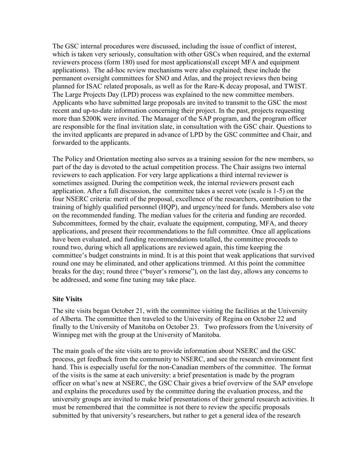The GSC internal procedures were discussed, including the issue of conflict of interest, which is taken very seriously, consultation with other GSCs when required, and the external reviewers process (form 180) used for most applications(all except MFA and equipment applications). The ad-hoc review mechanisms were also explained; these include the permanent oversight committees for SNO and Atlas, and the project reviews then being planned for ISAC related proposals, as well as for the Rare-K decay proposal, and TWIST. The Large Projects Day (LPD) process was explained to the new committee members. Applicants who have submitted large proposals are invited to transmit to the GSC the most recent and up-to-date information concerning their project. In the past, projects requesting more than \$200K were invited. The Manager of the SAP program, and the program officer are responsible for the final invitation slate, in consultation with the GSC chair. Questions to the invited applicants are prepared in advance of LPD by the GSC committee and Chair, and forwarded to the applicants.

The Policy and Orientation meeting also serves as a training session for the new members, so part of the day is devoted to the actual competition process. The Chair assigns two internal reviewers to each application. For very large applications a third internal reviewer is sometimes assigned. During the competition week, the internal reviewers present each application. After a full discussion, the committee takes a secret vote (scale is 1-5) on the four NSERC criteria: merit of the proposal, excellence of the researchers, contribution to the training of highly qualified personnel (HQP), and urgency/need for funds. Members also vote on the recommended funding. The median values for the criteria and funding are recorded. Subcommittees, formed by the chair, evaluate the equipment, computing, MFA, and theory applications, and present their recommendations to the full committee. Once all applications have been evaluated, and funding recommendations totalled, the committee proceeds to round two, during which all applications are reviewed again, this time keeping the committee's budget constraints in mind. It is at this point that weak applications that survived round one may be eliminated, and other applications trimmed. At this point the committee breaks for the day; round three ("buyer's remorse"), on the last day, allows any concerns to be addressed, and some fine tuning may take place.

## **Site Visits**

The site visits began October 21, with the committee visiting the facilities at the University of Alberta. The committee then traveled to the University of Regina on October 22 and finally to the University of Manitoba on October 23. Two professors from the University of Winnipeg met with the group at the University of Manitoba.

The main goals of the site visits are to provide information about NSERC and the GSC process, get feedback from the community to NSERC, and see the research environment first hand. This is especially useful for the non-Canadian members of the committee. The format of the visits is the same at each university: a brief presentation is made by the program officer on what's new at NSERC, the GSC Chair gives a brief overview of the SAP envelope and explains the procedures used by the committee during the evaluation process, and the university groups are invited to make brief presentations of their general research activities. It must be remembered that the committee is not there to review the specific proposals submitted by that university's researchers, but rather to get a general idea of the research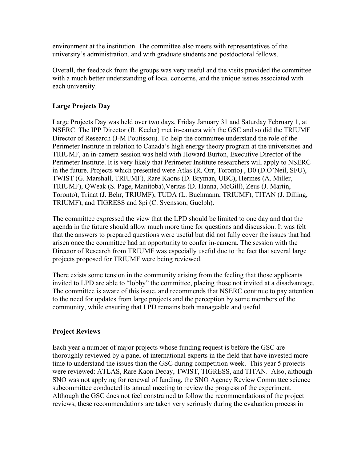environment at the institution. The committee also meets with representatives of the university's administration, and with graduate students and postdoctoral fellows.

Overall, the feedback from the groups was very useful and the visits provided the committee with a much better understanding of local concerns, and the unique issues associated with each university.

# **Large Projects Day**

Large Projects Day was held over two days, Friday January 31 and Saturday February 1, at NSERC The IPP Director (R. Keeler) met in-camera with the GSC and so did the TRIUMF Director of Research (J-M Poutissou). To help the committee understand the role of the Perimeter Institute in relation to Canada's high energy theory program at the universities and TRIUMF, an in-camera session was held with Howard Burton, Executive Director of the Perimeter Institute. It is very likely that Perimeter Institute researchers will apply to NSERC in the future. Projects which presented were Atlas (R. Orr, Toronto) , D0 (D.O'Neil, SFU), TWIST (G. Marshall, TRIUMF), Rare Kaons (D. Bryman, UBC), Hermes (A. Miller, TRIUMF), QWeak (S. Page, Manitoba),Veritas (D. Hanna, McGill), Zeus (J. Martin, Toronto), Trinat (J. Behr, TRIUMF), TUDA (L. Buchmann, TRIUMF), TITAN (J. Dilling, TRIUMF), and TIGRESS and 8pi (C. Svensson, Guelph).

The committee expressed the view that the LPD should be limited to one day and that the agenda in the future should allow much more time for questions and discussion. It was felt that the answers to prepared questions were useful but did not fully cover the issues that had arisen once the committee had an opportunity to confer in-camera. The session with the Director of Research from TRIUMF was especially useful due to the fact that several large projects proposed for TRIUMF were being reviewed.

There exists some tension in the community arising from the feeling that those applicants invited to LPD are able to "lobby" the committee, placing those not invited at a disadvantage. The committee is aware of this issue, and recommends that NSERC continue to pay attention to the need for updates from large projects and the perception by some members of the community, while ensuring that LPD remains both manageable and useful.

## **Project Reviews**

Each year a number of major projects whose funding request is before the GSC are thoroughly reviewed by a panel of international experts in the field that have invested more time to understand the issues than the GSC during competition week. This year 5 projects were reviewed: ATLAS, Rare Kaon Decay, TWIST, TIGRESS, and TITAN. Also, although SNO was not applying for renewal of funding, the SNO Agency Review Committee science subcommittee conducted its annual meeting to review the progress of the experiment. Although the GSC does not feel constrained to follow the recommendations of the project reviews, these recommendations are taken very seriously during the evaluation process in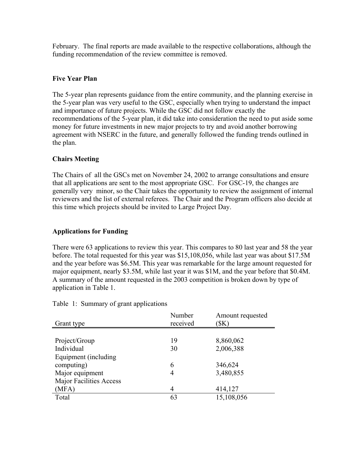February. The final reports are made available to the respective collaborations, although the funding recommendation of the review committee is removed.

# **Five Year Plan**

The 5-year plan represents guidance from the entire community, and the planning exercise in the 5-year plan was very useful to the GSC, especially when trying to understand the impact and importance of future projects. While the GSC did not follow exactly the recommendations of the 5-year plan, it did take into consideration the need to put aside some money for future investments in new major projects to try and avoid another borrowing agreement with NSERC in the future, and generally followed the funding trends outlined in the plan.

# **Chairs Meeting**

The Chairs of all the GSCs met on November 24, 2002 to arrange consultations and ensure that all applications are sent to the most appropriate GSC. For GSC-19, the changes are generally very minor, so the Chair takes the opportunity to review the assignment of internal reviewers and the list of external referees. The Chair and the Program officers also decide at this time which projects should be invited to Large Project Day.

# **Applications for Funding**

There were 63 applications to review this year. This compares to 80 last year and 58 the year before. The total requested for this year was \$15,108,056, while last year was about \$17.5M and the year before was \$6.5M. This year was remarkable for the large amount requested for major equipment, nearly \$3.5M, while last year it was \$1M, and the year before that \$0.4M. A summary of the amount requested in the 2003 competition is broken down by type of application in Table 1.

|                                | Number   | Amount requested |
|--------------------------------|----------|------------------|
| Grant type                     | received | (\$K)            |
|                                |          |                  |
| Project/Group                  | 19       | 8,860,062        |
| Individual                     | 30       | 2,006,388        |
| Equipment (including           |          |                  |
| computing)                     | 6        | 346,624          |
| Major equipment                | 4        | 3,480,855        |
| <b>Major Facilities Access</b> |          |                  |
| (MFA)                          | 4        | 414,127          |
| Total                          | 63       | 15,108,056       |

Table 1: Summary of grant applications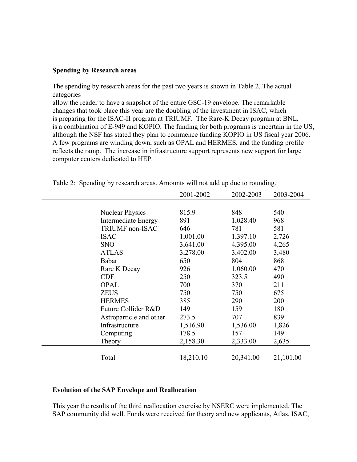#### **Spending by Research areas**

The spending by research areas for the past two years is shown in Table 2. The actual categories

allow the reader to have a snapshot of the entire GSC-19 envelope. The remarkable changes that took place this year are the doubling of the investment in ISAC, which is preparing for the ISAC-II program at TRIUMF. The Rare-K Decay program at BNL, is a combination of E-949 and KOPIO. The funding for both programs is uncertain in the US, although the NSF has stated they plan to commence funding KOPIO in US fiscal year 2006. A few programs are winding down, such as OPAL and HERMES, and the funding profile reflects the ramp. The increase in infrastructure support represents new support for large computer centers dedicated to HEP.

|            |                            | 2001-2002 | 2002-2003 | 2003-2004 |
|------------|----------------------------|-----------|-----------|-----------|
|            |                            |           |           |           |
|            | <b>Nuclear Physics</b>     | 815.9     | 848       | 540       |
|            | <b>Intermediate Energy</b> | 891       | 1,028.40  | 968       |
|            | TRIUMF non-ISAC            | 646       | 781       | 581       |
|            | <b>ISAC</b>                | 1,001.00  | 1,397.10  | 2,726     |
| <b>SNO</b> |                            | 3,641.00  | 4,395.00  | 4,265     |
|            | <b>ATLAS</b>               | 3,278.00  | 3,402.00  | 3,480     |
|            | Babar                      | 650       | 804       | 868       |
|            | Rare K Decay               | 926       | 1,060.00  | 470       |
| <b>CDF</b> |                            | 250       | 323.5     | 490       |
|            | <b>OPAL</b>                | 700       | 370       | 211       |
|            | <b>ZEUS</b>                | 750       | 750       | 675       |
|            | <b>HERMES</b>              | 385       | 290       | 200       |
|            | Future Collider R&D        | 149       | 159       | 180       |
|            | Astroparticle and other    | 273.5     | 707       | 839       |
|            | Infrastructure             | 1,516.90  | 1,536.00  | 1,826     |
|            | Computing                  | 178.5     | 157       | 149       |
|            | Theory                     | 2,158.30  | 2,333.00  | 2,635     |
|            | Total                      | 18,210.10 | 20,341.00 | 21,101.00 |

Table 2: Spending by research areas. Amounts will not add up due to rounding.

## **Evolution of the SAP Envelope and Reallocation**

This year the results of the third reallocation exercise by NSERC were implemented. The SAP community did well. Funds were received for theory and new applicants, Atlas, ISAC,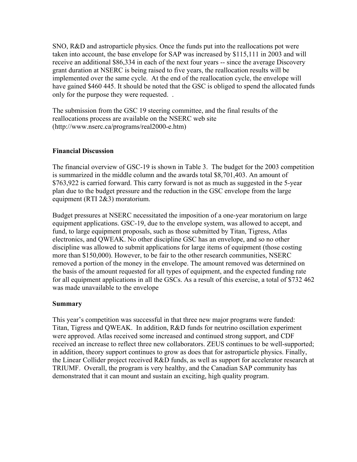SNO, R&D and astroparticle physics. Once the funds put into the reallocations pot were taken into account, the base envelope for SAP was increased by \$115,111 in 2003 and will receive an additional \$86,334 in each of the next four years -- since the average Discovery grant duration at NSERC is being raised to five years, the reallocation results will be implemented over the same cycle. At the end of the reallocation cycle, the envelope will have gained \$460 445. It should be noted that the GSC is obliged to spend the allocated funds only for the purpose they were requested. .

The submission from the GSC 19 steering committee, and the final results of the reallocations process are available on the NSERC web site (http://www.nserc.ca/programs/real2000-e.htm)

## **Financial Discussion**

The financial overview of GSC-19 is shown in Table 3. The budget for the 2003 competition is summarized in the middle column and the awards total \$8,701,403. An amount of \$763,922 is carried forward. This carry forward is not as much as suggested in the 5-year plan due to the budget pressure and the reduction in the GSC envelope from the large equipment (RTI 2&3) moratorium.

Budget pressures at NSERC necessitated the imposition of a one-year moratorium on large equipment applications. GSC-19, due to the envelope system, was allowed to accept, and fund, to large equipment proposals, such as those submitted by Titan, Tigress, Atlas electronics, and QWEAK. No other discipline GSC has an envelope, and so no other discipline was allowed to submit applications for large items of equipment (those costing more than \$150,000). However, to be fair to the other research communities, NSERC removed a portion of the money in the envelope. The amount removed was determined on the basis of the amount requested for all types of equipment, and the expected funding rate for all equipment applications in all the GSCs. As a result of this exercise, a total of \$732 462 was made unavailable to the envelope

## **Summary**

This year's competition was successful in that three new major programs were funded: Titan, Tigress and QWEAK. In addition, R&D funds for neutrino oscillation experiment were approved. Atlas received some increased and continued strong support, and CDF received an increase to reflect three new collaborators. ZEUS continues to be well-supported; in addition, theory support continues to grow as does that for astroparticle physics. Finally, the Linear Collider project received R&D funds, as well as support for accelerator research at TRIUMF. Overall, the program is very healthy, and the Canadian SAP community has demonstrated that it can mount and sustain an exciting, high quality program.